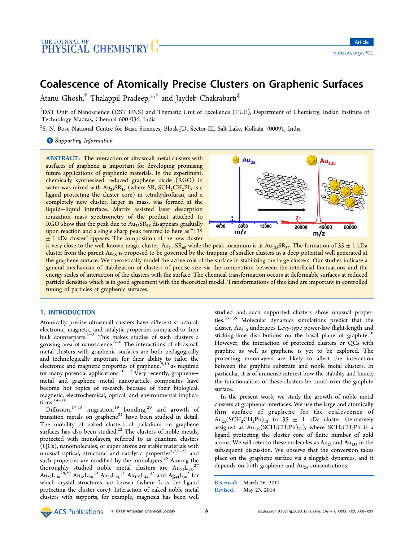# Coalescence of Atomically Precise Clusters on Graphenic Surfaces

Atanu Ghosh,<sup>†</sup> Thalappil Pradeep,\*<sup>,†</sup> and Jaydeb Chakrabarti<sup>‡</sup>

†DST Unit of Nanoscience (DST UNS) and Thematic Unit of Excellence (TUE), Department of Chemistry, Indian Institute of Technology Madras, Chennai 600 036, India

‡ S. N. Bose National Centre for Basic Sciences, Block-JD, Sector-III, Salt Lake, Kolkata 700091, India

**S** Supporting Information

ABSTRACT: The interaction of ultrasmall metal clusters with surfaces of graphene is important for developing promising future applications of graphenic materials. In the experiment, chemically synthesized reduced graphene oxide (RGO) in water was mixed with  $Au_{25}SR_{18}$  (where SR, SCH<sub>2</sub>CH<sub>2</sub>Ph, is a ligand protecting the cluster core) in tetrahydrofuran, and a completely new cluster, larger in mass, was formed at the liquid−liquid interface. Matrix assisted laser desorption ionization mass spectrometry of the product attached to RGO show that the peak due to  $Au_{25}SR_{18}$  disappears gradually upon reaction and a single sharp peak referred to here as "135  $±$  1 kDa cluster" appears. The composition of the new cluster



is very close to the well-known magic cluster,  $Au_{144}SR_{60}$  while the peak maximum is at  $Au_{135}SR_{57}$ . The formation of 35  $\pm$  1 kDa cluster from the parent Au<sub>25</sub> is proposed to be governed by the trapping of smaller clusters in a deep potential well generated at the graphene surface. We theoretically model the active role of the surface in stabilizing the large clusters. Our studies indicate a general mechanism of stabilization of clusters of precise size via the competition between the interfacial fluctuations and the energy scales of interaction of the clusters with the surface. The chemical transformation occurs at deformable surfaces at reduced particle densities which is in good agreement with the theoretical model. Transformations of this kind are important in controlled tuning of particles at graphenic surfaces.

### 1. INTRODUCTION

Atomically precise ultrasmall clusters have different structural, electronic, magnetic, and catalytic properties compared to their bulk counterparts.1−<sup>5</sup> This makes studies of such clusters a growing area of nanoscience.<sup>6−8</sup> The interactions of ultrasmall metal clusters with graphenic surfaces are both pedagogically and technologically important for their ability to tailor the electronic and magnetic properties of graphene, $^{9,10}$  as required for many potential applications.10−<sup>13</sup> Very recently, graphene− metal and graphene−metal nanoparticle composites have become hot topics of research because of their biological, magnetic, electrochemical, optical, and environmental implications. $14-16$ 

Diffusion,  $17,18$  migration,  $19$  bonding,  $20$  and growth of transition metals on graphene $21$  have been studied in detail. The mobility of naked clusters of palladium on graphene surfaces has also been studied.<sup>22</sup> The clusters of noble metals, protected with monolayers, referred to as quantum clusters (QCs), nanomolecules, or super atoms are stable materials with unusual optical, structural and catalytic properties<sup>1,23–25</sup> and such properties are modified by the monolayers.<sup>26</sup> Among the thoroughly studied noble metal clusters are  ${\rm Au}_{23}L_{16}^{27}$  $\text{Au}_{25}\text{L}_{18}^{28,29}$   $\text{Au}_{36}\text{L}_{24}^{30}$   $\text{Au}_{38}\text{L}_{24}^{31}$   $\text{Au}_{102}\text{L}_{44}^{32}$  and  $\text{Ag}_{44}\text{L}_{30}^{22}$  for which crystal structures are known (where L is the ligand protecting the cluster core). Interaction of naked noble metal clusters with supports, for example, magnesia has been well

studied and such supported clusters show unusual properties.33−<sup>35</sup> Molecular dynamics simulations predict that the cluster,  $Au<sub>140</sub>$  undergoes Lévy-type power-law flight-length and sticking-time distributions on the basal plane of graphite.<sup>18</sup> However, the interaction of protected clusters or QCs with graphite as well as graphene is yet to be explored. The protecting monolayers are likely to affect the interaction between the graphite substrate and noble metal clusters. In particular, it is of immense interest how the stability and hence, the functionalities of these clusters be tuned over the graphite surface.

In the present work, we study the growth of noble metal clusters at graphenic interfaces. We use the large and atomically thin surface of graphene for the coalescence of  $Au_{25}(SCH_2CH_2Ph)_{18}$  to 35  $\pm$  1 kDa cluster (tentatively assigned as  $Au_{135}(SCH_2CH_2Ph)_{57}$ , where  $SCH_2CH_2Ph$  is a ligand protecting the cluster core of finite number of gold atoms. We will refer to these molecules as  $Au_{25}$  and  $Au_{135}$  in the subsequent discussion. We observe that the conversion takes place on the graphene surface via a sluggish dynamics, and it depends on both graphene and  $Au_{25}$  concentrations.

Received: March 26, 2014 Revised: May 23, 2014

© ACS Publications © XXXX American Chemical Society **A** dx.doi.org/10.1021/jp503001s | J. Phys. Chem. C XXXX, XXX, XXX–XXX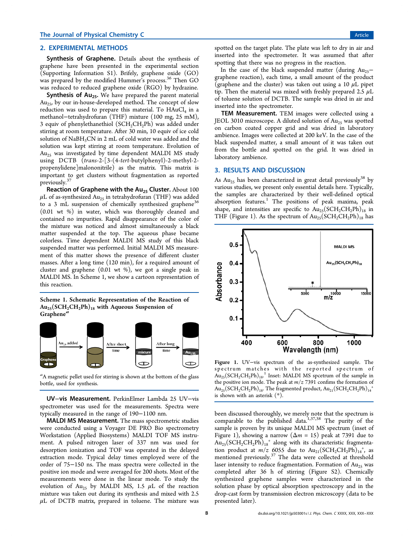### 2. EXPERIMENTAL METHODS

Synthesis of Graphene. Details about the synthesis of graphene have been presented in the experimental section (Supporting Information S1). Brifely, graphene oxide (GO) was prepared by the modified Hummer's process. <sup>36</sup> Then GO was reduced to reduced graphene oxide (RGO) by hydrazine.

**Synthesis of Au**<sub>25</sub>. We have prepared the parent material  $Au<sub>25</sub>$ , by our in-house-developed method. The concept of slow reduction was used to prepare this material. To  $\text{HAuCl}_4$  in a methanol−tetrahydrofuran (THF) mixture (100 mg, 25 mM), 3 equiv of phenylethanethiol  $(SCH_2CH_2Ph)$  was added under stirring at room temperature. After 30 min, 10 equiv of ice cold solution of NaBH<sub>3</sub>CN in 2 mL of cold water was added and the solution was kept stirring at room temperature. Evolution of  $Au<sub>25</sub>$  was investigated by time dependent MALDI MS study using DCTB (*trans*-2-[3-(4-*tert*-butylphenyl)-2-methyl-2 propenylidene]malononitrile) as the matrix. This matrix is important to get clusters without fragmentation as reported previously.<sup>3</sup>

Reaction of Graphene with the  $Au_{25}$  Cluster. About 100  $\mu$ L of as-synthesized Au<sub>25</sub> in tetrahydrofuran (THF) was added to a 3 mL suspension of chemically synthesized graphene<sup>36</sup> (0.01 wt %) in water, which was thoroughly cleaned and contained no impurities. Rapid disappearance of the color of the mixture was noticed and almost simultaneously a black matter suspended at the top. The aqueous phase became colorless. Time dependent MALDI MS study of this black suspended matter was performed. Initial MALDI MS measurement of this matter shows the presence of different cluster masses. After a long time (120 min), for a required amount of cluster and graphene (0.01 wt %), we got a single peak in MALDI MS. In Scheme 1, we show a cartoon representation of this reaction.

Scheme 1. Schematic Representation of the Reaction of  $Au_{25}(SCH_2CH_2Ph)_{18}$  with Aqueous Suspension of Graphene<sup>a</sup>



*a* A magnetic pellet used for stirring is shown at the bottom of the glass bottle, used for synthesis.

UV−vis Measurement. PerkinElmer Lambda 25 UV−vis spectrometer was used for the measurements. Spectra were typically measured in the range of 190−1100 nm.

MALDI MS Measurement. The mass spectrometric studies were conducted using a Voyager DE PRO Bio spectrometry Workstation (Applied Biosystems) MALDI TOF MS instrument. A pulsed nitrogen laser of 337 nm was used for desorption ionization and TOF was operated in the delayed extraction mode. Typical delay times employed were of the order of 75−150 ns. The mass spectra were collected in the positive ion mode and were averaged for 200 shots. Most of the measurements were done in the linear mode. To study the evolution of  $Au_{25}$  by MALDI MS, 1.5  $\mu$ L of the reaction mixture was taken out during its synthesis and mixed with 2.5  $\mu$ L of DCTB matrix, prepared in toluene. The mixture was

spotted on the target plate. The plate was left to dry in air and inserted into the spectrometer. It was assumed that after spotting that there was no progress in the reaction.

In the case of the black suspended matter (during  $Au_{25}$ − graphene reaction), each time, a small amount of the product (graphene and the cluster) was taken out using a 10  $\mu$ L pipet tip. Then the material was mixed with freshly prepared 2.5  $\mu$ L of toluene solution of DCTB. The sample was dried in air and inserted into the spectrometer.

TEM Measurement. TEM images were collected using a JEOL 3010 microscope. A diluted solution of  $Au_{25}$  was spotted on carbon coated copper grid and was dried in laboratory ambience. Images were collected at 200 keV. In the case of the black suspended matter, a small amount of it was taken out from the bottle and spotted on the grid. It was dried in laboratory ambience.

### 3. RESULTS AND DISCUSSION

As  $Au_{25}$  has been characterized in great detail previously<sup>38</sup> by various studies, we present only essential details here. Typically, the samples are characterized by their well-defined optical absorption features.<sup>1</sup> The positions of peak maxima, peak shape, and intensities are specific to  $Au_{25}(SCH_2CH_2Ph)_{18}$  in THF (Figure 1). As the spectrum of  $Au_{25}(SCH_2CH_2Ph)_{18}$  has



Figure 1. UV−vis spectrum of the as-synthesized sample. The spectrum matches with the reported spectrum of  $\text{Au}_{25}(\text{SCH}_{2}\text{CH}_{2}\text{Ph})_{18}$ .<sup>1</sup> Inset: MALDI MS spcetrum of the sample in the positive ion mode. The peak at *m*/*z* 7391 confims the formation of  $\rm{Au_{25}(SCH_2CH_2Ph)_{18}}$ . The fragmented product,  $\rm{Au_{21}(SCH_2CH_2Ph)_{14}}^+$ is shown with an asterisk (\*).

been discussed thoroughly, we merely note that the spectrum is comparable to the published data.<sup>1,37,38</sup> The purity of the sample is proven by its unique MALDI MS spectrum (inset of Figure 1), showing a narrow  $(\Delta m = 15)$  peak at 7391 due to  $\text{Au}_{25}\text{(SCH}_2\text{CH}_2\text{Ph)}_{18}$ <sup>+</sup> along with its characteristic fragmentation product at  $m/z$  6055 due to  $Au_{21}(SCH_2CH_2Ph)_{14}$ <sup>+</sup>, as mentioned previously.<sup>37</sup> The data were collected at threshold laser intensity to reduce fragmentation. Formation of  $Au_{25}$  was completed after 36 h of stirring (Figure S2). Chemically synthesized graphene samples were characterized in the solution phase by optical absorption spectroscopy and in the drop-cast form by transmission electron microscopy (data to be presented later).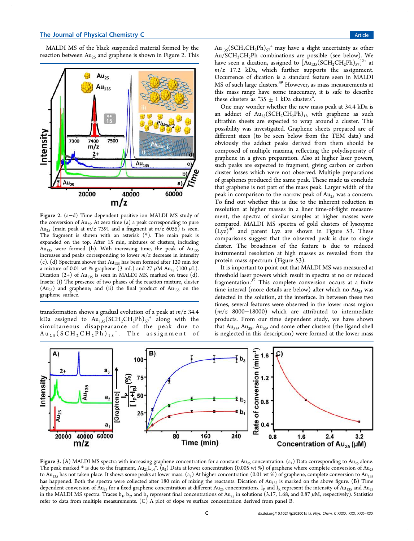MALDI MS of the black suspended material formed by the reaction between  $Au_{25}$  and graphene is shown in Figure 2. This



Figure 2. (a−d) Time dependent positive ion MALDI MS study of the conversion of  $Au_{25}$ . At zero time (a) a peak corresponding to pure Au<sub>25</sub> (main peak at  $m/z$  7391 and a fragment at  $m/z$  6055) is seen. The fragment is shown with an asterisk (\*). The main peak is expanded on the top. After 15 min, mixtures of clusters, including Au<sub>135</sub> were formed (b). With increasing time, the peak of Au<sub>135</sub> increases and peaks corresponding to lower *m*/*z* decrease in intensity (c). (d) Spectrum shows that  $Au_{135}$  has been formed after 120 min for a mixture of 0.01 wt % graphene (3 mL) and 27  $\mu$ M Au<sub>25</sub> (100  $\mu$ L). Dication  $(2+)$  of Au<sub>135</sub> is seen in MALDI MS, marked on trace (d). Insets: (i) The presence of two phases of the reaction mixture, cluster  $(Au_{25})$  and graphene; and (ii) the final product of  $Au_{135}$  on the graphene surface.

transformation shows a gradual evolution of a peak at *m*/*z* 34.4 kDa assigned to  $Au_{135}(SCH_2CH_2Ph)_{57}^+$  along with the simultaneous disappearance of the peak due to  ${\rm Au}_{25}$  (SCH<sub>2</sub>CH<sub>2</sub>Ph)<sub>18</sub><sup>+</sup>. The assignment of

 $\text{Au}_{135}\text{(SCH}_2\text{CH}_2\text{Ph)}_{57}$ <sup>+</sup> may have a slight uncertainty as other  $Au/SCH<sub>2</sub>CH<sub>2</sub>Ph$  combinations are possible (see below). We have seen a dication, assigned to  $[\text{Au}_{135}(\text{SCH}_2\text{CH}_2\text{Ph})_{57}]^{2+}$  at  $m/z$  17.2 kDa, which further supports the assignment. Occurrence of dication is a standard feature seen in MALDI MS of such large clusters.<sup>39</sup> However, as mass measurements at this mass range have some inaccuracy, it is safe to describe these clusters as " $35 \pm 1$  kDa clusters".

One may wonder whether the new mass peak at 34.4 kDa is an adduct of  $Au_{25}(SCH_2CH_2Ph)_{18}$  with graphene as such ultrathin sheets are expected to wrap around a cluster. This possibility was investigated. Graphene sheets prepared are of different sizes (to be seen below from the TEM data) and obviously the adduct peaks derived from them should be composed of multiple maxima, reflecting the polydispersity of graphene in a given preparation. Also at higher laser powers, such peaks are expected to fragment, giving carbon or carbon cluster losses which were not observed. Multiple preparations of graphenes produced the same peak. These made us conclude that graphene is not part of the mass peak. Larger width of the peak in comparison to the narrow peak of  $Au_{25}$  was a concern. To find out whether this is due to the inherent reduction in resolution at higher masses in a liner time-of-flight measurement, the spectra of similar samples at higher masses were compared. MALDI MS spectra of gold clusters of lysozyme  $(Lyz)^{40}$  and parent Lyz are shown in Figure S3. These comparisons suggest that the observed peak is due to single cluster. The broadness of the feature is due to reduced instrumental resolution at high masses as revealed from the protein mass spectrum (Figure S3).

It is important to point out that MALDI MS was measured at threshold laser powers which result in spectra at no or reduced fragmentation. $37$  This complete conversion occurs at a finite time interval (more details are below) after which no  $Au_{25}$  was detected in the solution, at the interface. In between these two times, several features were observed in the lower mass region (*m*/*z* 8000−18000) which are attributed to intermediate products. From our time dependent study, we have shown that  $Au_{33}$ ,  $Au_{38}$ ,  $Au_{55}$ , and some other clusters (the ligand shell is neglected in this description) were formed at the lower mass



**Figure 3.** (A) MALDI MS spectra with increasing graphene concentration for a constant Au<sub>25</sub> concentration.  $(\mathsf{a_1})$  Data corresponding to Au<sub>25</sub> alone. The peak marked  $*$  is due to the fragment, Au $_{21}$ L<sub>14</sub>+. (a<sub>2</sub>) Data at lower concentration (0.005 wt %) of graphene where complete conversion of Au<sub>25</sub> to Au<sub>135</sub> has not taken place. It shows some peaks at lower mass. (a<sub>3</sub>) At higher concentration (0.01 wt %) of graphene, complete conversion to Au<sub>135</sub> has happened. Both the spectra were collected after 180 min of mixing the reactants. Dication of  $Au_{135}$  is marked on the above figure. (B) Time dependent conversion of  $\rm{Au}_{25}$  for a fixed graphene concentration at different  $\rm{Au}_{25}$  concentrations. I<sub>P</sub> and I<sub>R</sub> represent the intensity of  $\rm{Au}_{135}$  and  $\rm{Au}_{25}$ in the MALDI MS spectra. Traces b<sub>1</sub>, b<sub>2</sub>, and b<sub>3</sub> represent final concentrations of Au<sub>25</sub> in solutions (3.17, 1.68, and 0.87 µM, respectively). Statistics refer to data from multiple measurements. (C) A plot of slope vs surface concentration derived from panel B.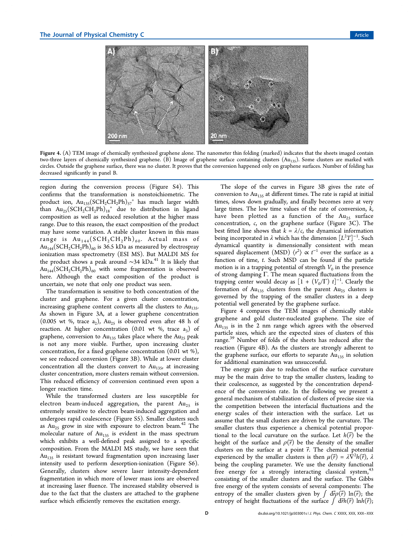

Figure 4. (A) TEM image of chemically synthesized graphene alone. The nanometer thin folding (marked) indicates that the sheets imaged contain two-three layers of chemically synthesized graphene. (B) Image of graphene surface containing clusters  $(Au_{135})$ . Some clusters are marked with circles. Outside the graphene surface, there was no cluster. It proves that the conversion happened only on graphene surfaces. Number of folding has decreased significantly in panel B.

region during the conversion process (Figure S4). This confirms that the transformation is nonstoichiometric. The product ion,  $Au_{135}(SCH_2CH_2Ph)_{57}$ <sup>+</sup> has much larger width than  $Au_{25}(SCH_2CH_2Ph)_{18}^+$  due to distribution in ligand composition as well as reduced resolution at the higher mass range. Due to this reason, the exact composition of the product may have some variation. A stable cluster known in this mass range is  $Au_{144}(SCH_2CH_2Ph)_{60}$ . Actual mass of  $Au_{144}(SCH_2CH_2Ph)_{60}$  is 36.5 kDa as measured by electrospray ionization mass spectrometry (ESI MS). But MALDI MS for the product shows a peak around  $\sim$ 34 kDa.<sup>41</sup> It is likely that  $Au_{144}(SCH_2CH_2Ph)_{60}$  with some fragmentation is observed here. Although the exact composition of the product is uncertain, we note that only one product was seen.

The transformation is sensitive to both concentration of the cluster and graphene. For a given cluster concentration, increasing graphene content converts all the clusters to  $Au_{135}$ . As shown in Figure 3A, at a lower graphene concentration  $(0.005 \text{ wt } %$ , trace  $a_2)$ ,  $Au_{25}$  is observed even after 48 h of reaction. At higher concentration (0.01 wt %, trace  $a_3$ ) of graphene, conversion to  $Au_{135}$  takes place where the  $Au_{25}$  peak is not any more visible. Further, upon increasing cluster concentration, for a fixed graphene concentration (0.01 wt %), we see reduced conversion (Figure 3B). While at lower cluster concentration all the clusters convert to  $Au_{135}$ , at increasing cluster concentration, more clusters remain without conversion. This reduced efficiency of conversion continued even upon a longer reaction time.

While the transformed clusters are less susceptible for electron beam-induced aggregation, the parent  $Au_{25}$  is extremely sensitive to electron beam-induced aggregation and undergoes rapid coalescence (Figure S5). Smaller clusters such as  $Au_{25}$  grow in size with exposure to electron beam.<sup>42</sup> The molecular nature of  $Au_{135}$  is evident in the mass spectrum which exhibits a well-defined peak assigned to a specific composition. From the MALDI MS study, we have seen that  $Au<sub>135</sub>$  is resistant toward fragmentation upon increasing laser intensity used to perform desorption-ionization (Figure S6). Generally, clusters show severe laser intensity-dependent fragmentation in which more of lower mass ions are observed at increasing laser fluence. The increased stability observed is due to the fact that the clusters are attached to the graphene surface which efficiently removes the excitation energy.

The slope of the curves in Figure 3B gives the rate of conversion to  $Au_{135}$  at different times. The rate is rapid at initial times, slows down gradually, and finally becomes zero at very large times. The low time values of the rate of conversion, *k*, have been plotted as a function of the  $Au_{25}$  surface concentration, *c*, on the graphene surface (Figure 3C). The best fitted line shows that  $k = \lambda/c$ , the dynamical information being incorporated in λ which has the dimension [*L* <sup>2</sup>*T*] −1 . Such dynamical quantity is dimensionally consistent with mean squared displacement (MSD)  $\langle r^2 \rangle \propto t^{-1}$  over the surface as a function of time, *t*. Such MSD can be found if the particle motion is in a trapping potential of strength  $V_0$  in the presence of strong damping Γ. The mean squared fluctuations from the trapping center would decay as  $[1 + (V_0/\Gamma) t]^{-1}$ . Clearly the formation of  $Au_{135}$  clusters from the parent  $Au_{25}$  clusters is governed by the trapping of the smaller clusters in a deep potential well generated by the graphene surface.

Figure 4 compares the TEM images of chemically stable graphene and gold cluster-nucleated graphene. The size of  $Au<sub>135</sub>$  is in the 2 nm range which agrees with the observed particle sizes, which are the expected sizes of clusters of this range.<sup>39</sup> Number of folds of the sheets has reduced after the reaction (Figure 4B). As the clusters are strongly adherent to the graphene surface, our efforts to separate  $Au<sub>135</sub>$  in solution for additional examination was unsuccessful.

The energy gain due to reduction of the surface curvature may be the main drive to trap the smaller clusters, leading to their coalescence, as suggested by the concentration dependence of the conversion rate. In the following we present a general mechanism of stabilization of clusters of precise size via the competition between the interfacial fluctuations and the energy scales of their interaction with the surface. Let us assume that the small clusters are driven by the curvature. The smaller clusters thus experience a chemical potential proportional to the local curvature on the surface. Let  $h(\vec{r})$  be the height of the surface and  $\rho(\vec{r})$  be the density of the smaller clusters on the surface at a point  $\vec{r}$ . The chemical potential experienced by the smaller clusters is then  $\mu(\vec{r}) = \lambda \hat{\nabla}^2 h(\vec{r})$ ,  $\lambda$ being the coupling parameter. We use the density functional free energy for a strongly interacting classical system, <sup>43</sup> consisting of the smaller clusters and the surface. The Gibbs free energy of the system consists of several components: The entropy of the smaller clusters given by  $\int d\vec{r} \rho(\vec{r}) \ln(\vec{r})$ ; the entropy of height fluctuations of the surface  $\int d\vec{r}h(\vec{r}) \ln h(\vec{r});$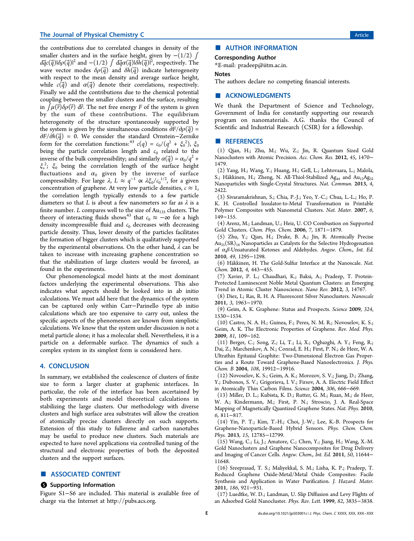the contributions due to correlated changes in density of the smaller clusters and in the surface height, given by  $-(1/2)$  ∫  $d\vec{q}$ c $(\vec{q})$ | $\delta\rho(\vec{q})$ |<sup>2</sup> and  $-(1/2)\int d\vec{q}\alpha(\vec{q})$ | $\delta\vec{h}(\vec{q})$ | $^2$ , respectively. The wave vector modes  $\delta \rho(\vec{q})$  and  $\delta h(\vec{q})$  indicate heterogeneity with respect to the mean density and average surface height, while  $c(\vec{q})$  and  $\alpha(\vec{q})$  denote their correlations, respectively. Finally we add the contributions due to the chemical potential coupling between the smaller clusters and the surface, resulting in  $\int \mu(\vec{r}) \delta \rho(\vec{r}) d\vec{r}$ . The net free energy *F* of the system is given by the sum of these contributions. The equilibrium heterogeneity of the structure spontaneously supported by the system is given by the simultaneous conditions  $\partial F/\partial \rho(\vec{q})$  = ∂*F*/∂*h*( $\vec{q}$ ) = 0. We consider the standard Ornstein–Zernike form for the correlation functions:<sup>43</sup>  $c(q) = c_0/(q^2 + \xi_0^2)$ ,  $\xi_0$ being the particle correlation length and  $c_0$  related to the inverse of the bulk compressibility; and similarly  $\alpha(\vec{q}) = \alpha_0/q^2 +$  $\xi_s^2$ ;  $\xi_0$  being the correlation length of the surface height fluctuations and  $\alpha_0$  given by the inverse of surface compressibility. For large  $\lambda$ ,  $L \approx q^{-1} \propto \lambda \xi_0 / c_0^{1/2}$ , for a given concentration of graphene. At very low particle densities,  $c \approx 1$ , the correlation length typically extends to a few particle diameters so that *L* is about a few nanometers so far as  $\lambda$  is a finite number. *L* compares well to the size of Au<sub>135</sub> clusters. The theory of interacting fluids shows<sup>43</sup> that  $c_0 \approx -\infty$  for a high density incompressible fluid and  $c_0$  decreases with decreasing particle density. Thus, lower density of the particles facilitates the formation of bigger clusters which is qualitatively supported by the experimental observations. On the other hand,  $\lambda$  can be taken to increase with increasing graphene concentration so that the stabilization of large clusters would be favored, as found in the experiments.

Our phenomenological model hints at the most dominant factors underlying the experimental observations. This also indicates what aspects should be looked into in ab initio calculations. We must add here that the dynamics of the system can be captured only within Carr−Parinello type ab initio calculations which are too expensive to carry out, unless the specific aspects of the phenomenon are known from simplistic calculations. We know that the system under discussion is not a metal particle alone; it has a molecular shell. Nevertheless, it is a particle on a deformable surface. The dynamics of such a complex system in its simplest form is considered here.

### 4. CONCLUSION

In summary, we established the coalescence of clusters of finite size to form a larger cluster at graphenic interfaces. In particular, the role of the interface has been ascertained by both experiments and model theoretical calculations in stabilizing the large clusters. Our methodology with diverse clusters and high surface area substrates will allow the creation of atomically precise clusters directly on such supports. Extension of this study to fullerene and carbon nanotubes may be useful to produce new clusters. Such materials are expected to have novel applications via controlled tuning of the structural and electronic properties of both the deposited clusters and the support surfaces.

### ■ ASSOCIATED CONTENT

#### **6** Supporting Information

Figure S1−S6 are included. This material is available free of charge via the Internet at http://pubs.acs.org.

## ■ AUTHOR INFORMATION

### Corresponding Author

\*E-mail: pradeep@iitm.ac.in.

#### Notes

The authors declare no competing financial interests.

### ■ ACKNOWLEDGMENTS

We thank the Department of Science and Technology, Government of India for constantly supporting our research program on nanomaterials. A.G. thanks the Council of Scientific and Industrial Research (CSIR) for a fellowship.

### ■ REFERENCES

(1) Qian, H.; Zhu, M.; Wu, Z.; Jin, R. Quantum Sized Gold Nanoclusters with Atomic Precision. *Acc. Chem. Res.* 2012, *45*, 1470− 1479.

(2) Yang, H.; Wang, Y.; Huang, H.; Gell, L.; Lehtovaara, L.; Malola, S.; Häkkinen, H.; Zheng, N. All-Thiol-Stabilized Ag<sub>44</sub> and Au<sub>12</sub>Ag<sub>32</sub> Nanoparticles with Single-Crystal Structures. *Nat. Commun.* 2013, *4*, 2422.

(3) Sivaramakrishnan, S.; Chia, P.-J.; Yeo, Y.-C.; Chua, L.-L.; Ho, P. K. H. Controlled Insulator-to-Metal Transformation in Printable Polymer Composites with Nanometal Clusters. *Nat. Mater.* 2007, *6*, 149−155.

(4) Arenz, M.; Landman, U.; Heiz, U. CO Combustion on Supported Gold Clusters. *Chem. Phys. Chem.* 2006, *7*, 1871−1879.

(5) Zhu, Y.; Qian, H.; Drake, B. A.; Jin, R. Atomically Precise  $Au_{25}(SR)_{18}$  Nanoparticles as Catalysts for the Selective Hydrogenation of α,β-Unsaturated Ketones and Aldehydes. *Angew. Chem., Int. Ed.* 2010, *49*, 1295−1298.

(6) Häkkinen, H. The Gold-Sulfur Interface at the Nanoscale. Nat. *Chem.* 2012, *4*, 443−455.

(7) Xavier, P. L.; Chaudhari, K.; Baksi, A.; Pradeep, T. Protein-Protected Luminescent Noble Metal Quantum Clusters: an Emerging Trend in Atomic Cluster Nanoscience. *Nano Rev.* 2012, *3*, 14767.

(8) Diez, I.; Ras, R. H. A. Fluorescent Silver Nanoclusters. *Nanoscale* 2011, *3*, 1963−1970.

(9) Geim, A. K. Graphene: Status and Prospects. *Science* 2009, *324*, 1530−1534.

(10) Castro, N. A. H.; Guinea, F.; Peres, N. M. R.; Novoselov, K. S.; Geim, A. K. The Electronic Properties of Graphene. *Rev. Mod. Phys.* 2009, *81*, 109−162.

(11) Berger, C.; Song, Z.; Li, T.; Li, X.; Ogbazghi, A. Y.; Feng, R.; Dai, Z.; Marchenkov, A. N.; Conrad, E. H.; First, P. N.; de Heer, W. A. Ultrathin Epitaxial Graphite: Two-Dimensional Electron Gas Properties and a Route Toward Graphene-Based Nanoelectronics. *J. Phys. Chem. B* 2004, *108*, 19912−19916.

(12) Novoselov, K. S.; Geim, A. K.; Morozov, S. V.; Jiang, D.; Zhang, Y.; Dubonos, S. V.; Grigorieva, I. V.; Firsov, A. A. Electric Field Effect in Atomically Thin Carbon Films. *Science* 2004, *306*, 666−669.

(13) Miller, D. L.; Kubista, K. D.; Rutter, G. M.; Ruan, M.; de Heer, W. A.; Kindermann, M.; First, P. N.; Stroscio, J. A. Real-Space Mapping of Magnetically Quantized Graphene States. *Nat. Phys.* 2010, *6*, 811−817.

(14) Yin, P. T.; Kim, T.-H.; Choi, J.-W.; Lee, K.-B. Prospects for Graphene-Nanoparticle-Based Hybrid Sensors. *Phys. Chem. Chem. Phys.* 2013, *15*, 12785−12799.

(15) Wang, C.; Li, J.; Amatore, C.; Chen, Y.; Jiang, H.; Wang, X.-M. Gold Nanoclusters and Graphene Nanocomposites for Drug Delivery and Imaging of Cancer Cells. *Angew. Chem., Int. Ed.* 2011, *50*, 11644− 11648.

(16) Sreeprasad, T. S.; Maliyekkal, S. M.; Lisha, K. P.; Pradeep, T. Reduced Graphene Oxide-Metal/Metal Oxide Composites: Facile Synthesis and Application in Water Purification. *J. Hazard. Mater.* 2011, *186*, 921−931.

(17) Luedtke, W. D.; Landman, U. Slip Diffusion and Levy Flights of an Adsorbed Gold Nanocluster. *Phys. Rev. Lett.* 1999, *82*, 3835−3838.